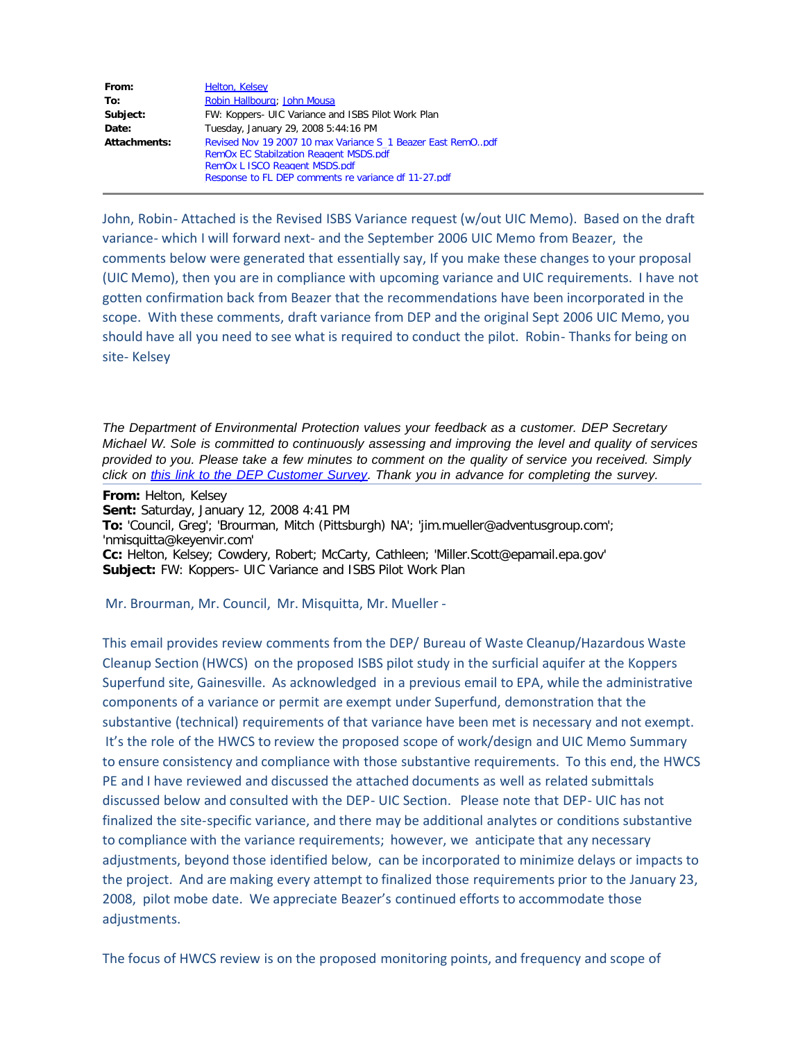| From:        | <b>Helton, Kelsey</b>                                       |
|--------------|-------------------------------------------------------------|
| To:          | Robin Hallbourg; John Mousa                                 |
| Subject:     | FW: Koppers- UIC Variance and ISBS Pilot Work Plan          |
| Date:        | Tuesday, January 29, 2008 5:44:16 PM                        |
| Attachments: | Revised Nov 19 2007 10 max Variance S 1 Beazer East RemOpdf |
|              | <b>RemOx EC Stabilzation Reagent MSDS.pdf</b>               |
|              | RemOx L ISCO Reagent MSDS.pdf                               |
|              | Response to FL DEP comments re variance df 11-27.pdf        |

John, Robin- Attached is the Revised ISBS Variance request (w/out UIC Memo). Based on the draft variance- which I will forward next- and the September 2006 UIC Memo from Beazer, the comments below were generated that essentially say, If you make these changes to your proposal (UIC Memo), then you are in compliance with upcoming variance and UIC requirements. I have not gotten confirmation back from Beazer that the recommendations have been incorporated in the scope. With these comments, draft variance from DEP and the original Sept 2006 UIC Memo, you should have all you need to see what is required to conduct the pilot. Robin- Thanks for being on site- Kelsey

*The Department of Environmental Protection values your feedback as a customer. DEP Secretary Michael W. Sole is committed to continuously assessing and improving the level and quality of services provided to you. Please take a few minutes to comment on the quality of service you received. Simply click on [this link to the DEP Customer Survey.](http://survey.dep.state.fl.us/?refemail=Kelsey.Helton@dep.state.fl.us) Thank you in advance for completing the survey.*

**From:** Helton, Kelsey **Sent:** Saturday, January 12, 2008 4:41 PM **To:** 'Council, Greg'; 'Brourman, Mitch (Pittsburgh) NA'; 'jim.mueller@adventusgroup.com'; 'nmisquitta@keyenvir.com' **Cc:** Helton, Kelsey; Cowdery, Robert; McCarty, Cathleen; 'Miller.Scott@epamail.epa.gov' **Subject:** FW: Koppers- UIC Variance and ISBS Pilot Work Plan

Mr. Brourman, Mr. Council, Mr. Misquitta, Mr. Mueller -

This email provides review comments from the DEP/ Bureau of Waste Cleanup/Hazardous Waste Cleanup Section (HWCS) on the proposed ISBS pilot study in the surficial aquifer at the Koppers Superfund site, Gainesville. As acknowledged in a previous email to EPA, while the administrative components of a variance or permit are exempt under Superfund, demonstration that the substantive (technical) requirements of that variance have been met is necessary and not exempt. It's the role of the HWCS to review the proposed scope of work/design and UIC Memo Summary to ensure consistency and compliance with those substantive requirements. To this end, the HWCS PE and I have reviewed and discussed the attached documents as well as related submittals discussed below and consulted with the DEP- UIC Section. Please note that DEP- UIC has not finalized the site-specific variance, and there may be additional analytes or conditions substantive to compliance with the variance requirements; however, we anticipate that any necessary adjustments, beyond those identified below, can be incorporated to minimize delays or impacts to the project. And are making every attempt to finalized those requirements prior to the January 23, 2008, pilot mobe date. We appreciate Beazer's continued efforts to accommodate those adjustments.

The focus of HWCS review is on the proposed monitoring points, and frequency and scope of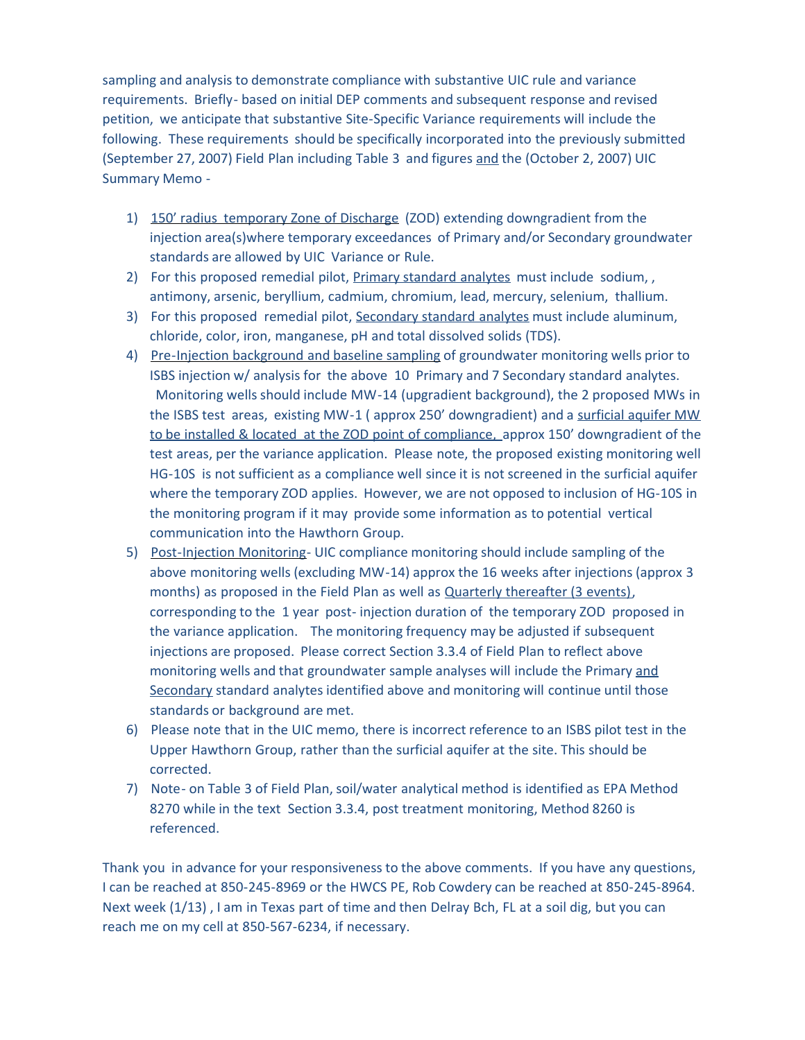sampling and analysis to demonstrate compliance with substantive UIC rule and variance requirements. Briefly- based on initial DEP comments and subsequent response and revised petition, we anticipate that substantive Site-Specific Variance requirements will include the following. These requirements should be specifically incorporated into the previously submitted (September 27, 2007) Field Plan including Table 3 and figures and the (October 2, 2007) UIC Summary Memo -

- 1) 150' radius temporary Zone of Discharge (ZOD) extending downgradient from the injection area(s)where temporary exceedances of Primary and/or Secondary groundwater standards are allowed by UIC Variance or Rule.
- 2) For this proposed remedial pilot, Primary standard analytes must include sodium,, antimony, arsenic, beryllium, cadmium, chromium, lead, mercury, selenium, thallium.
- 3) For this proposed remedial pilot, Secondary standard analytes must include aluminum, chloride, color, iron, manganese, pH and total dissolved solids (TDS).
- 4) Pre-Injection background and baseline sampling of groundwater monitoring wells prior to ISBS injection w/ analysis for the above 10 Primary and 7 Secondary standard analytes. Monitoring wells should include MW-14 (upgradient background), the 2 proposed MWs in the ISBS test areas, existing MW-1 ( approx 250' downgradient) and a surficial aquifer MW to be installed & located at the ZOD point of compliance, approx 150' downgradient of the test areas, per the variance application. Please note, the proposed existing monitoring well HG-10S is not sufficient as a compliance well since it is not screened in the surficial aquifer where the temporary ZOD applies. However, we are not opposed to inclusion of HG-10S in the monitoring program if it may provide some information as to potential vertical communication into the Hawthorn Group.
- 5) Post-Injection Monitoring- UIC compliance monitoring should include sampling of the above monitoring wells (excluding MW-14) approx the 16 weeks after injections (approx 3 months) as proposed in the Field Plan as well as **Quarterly thereafter (3 events)**, corresponding to the 1 year post- injection duration of the temporary ZOD proposed in the variance application. The monitoring frequency may be adjusted if subsequent injections are proposed. Please correct Section 3.3.4 of Field Plan to reflect above monitoring wells and that groundwater sample analyses will include the Primary and Secondary standard analytes identified above and monitoring will continue until those standards or background are met.
- 6) Please note that in the UIC memo, there is incorrect reference to an ISBS pilot test in the Upper Hawthorn Group, rather than the surficial aquifer at the site. This should be corrected.
- 7) Note- on Table 3 of Field Plan, soil/water analytical method is identified as EPA Method 8270 while in the text Section 3.3.4, post treatment monitoring, Method 8260 is referenced.

Thank you in advance for your responsiveness to the above comments. If you have any questions, I can be reached at 850-245-8969 or the HWCS PE, Rob Cowdery can be reached at 850-245-8964. Next week (1/13) , I am in Texas part of time and then Delray Bch, FL at a soil dig, but you can reach me on my cell at 850-567-6234, if necessary.